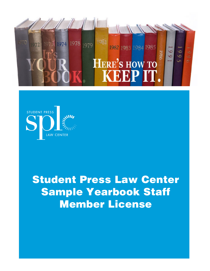



Student Press Law Center Sample Yearbook Staff Member License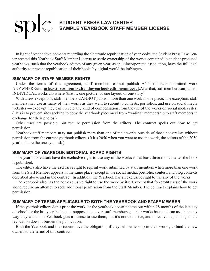# **STUDENT PRESS LAW CENTER SAMPLE YEARBOOK STAFF MEMBER LICENSE**

In light of recent developments regarding the electronic republication of yearbooks. the Student Press Law Center created this Yearbook Staff Member License to settle ownership of the works contained in student-produced yearbooks, such that the yearbook editors of any given year, as an unincorporated association, have the full legal authority to prevent republication of their books by digital would-be infringers.

### **SUMMARY OF STAFF MEMBER RIGHTS**

Under the terms of this agreement, staff members cannot publish ANY of their submitted work ANYWHERE until **at least three months after the yearbook edition comes out**. After that, staff members can publish INDIVIDUAL works anywhere (that is, one picture, or one layout, or one story).

With a few exceptions, staff members CANNOT publish more than one work in one place. The exception: staff members may use as many of their works as they want to submit to contests, portfolios, and use on social media websites — excewpt they can't receie any kind of compensation from the use of the works on social media sites. (This is to prevent sites seeking to copy the yearbook piecemeal from "trading" membership to staff members in exchange for their photos.)

Other uses are possible, but require permission from the editors. The contract spells out how to get permission.

Yearbook staff members **may not** publish more than one of their works outside of those constraints without permission from the current yearbook editors. (It it's 2050 when you want to use the work, the editors of the 2050 yearbook are the ones you ask.)

#### **SUMMARY OF YEARBOOK EDITORIAL BOARD RIGHTS**

The yearbook editors have the **exclusive** right to use any of the works for at least three months after the book is published.

The editors also have the **exclusive** right to reprint work submitted by staff members when more than one work from the Staff Member appears in the same place, except in the social media, portfolio, contest, and blog contexts described above and in the contract. In addition, the Yearbook has an exclusive right to use any of the works.

The Yearbook also has the non-exclusive right to use the work by itself, except that for-profit uses of the work alone require an attempt to seek additional permission from the Staff Member. The contract explains how to get permission.

### **SUMMARY OF TERMS APPLICABLE TO BOTH THE YEARBOOK AND STAFF MEMBER**

If the yearbok editors don't print the work, or the yearbook doesn't come out within 18 months of the last day of school for the last year the book is supposed to cover, staff members get their works back and can use them any way they want. The Yearbook gets a license to use them, but it's not exclusive, and is recovable, as long as the revocation doesn't burden the publication.

Both the Yearbook and the student have the obligation, if they sell ownership in their works, to bind the new owners to the terms of this contract.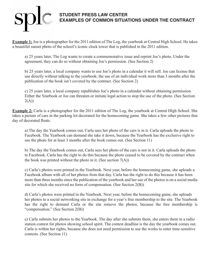

## **STUDENT PRESS LAW CENTER EXAMPLES OF COMMON SITUATIONS UNDER THE CONTRACT**

**Example 1:** Joe is a photographer for the 2011 edition of The Log, the yearbook at Central High School. He takes a beautiful sunset photo of the school's iconic clock tower that is published in the 2011 edition.

a) 25 years later, The Log wants to create a commemorative issue and reprint Joe's photo. Under the agreement, they can do so without obtaining Joe's permission. (See Section 2)

b) 25 years later, a local company wants to use Joe's photo in a calendar it will sell. Joe can license that use directly without talking to the yearbook; the use of an individual work more than 3 months after the publication of the book isn't covered by the contract. (See Section 2)

c) 25 years later, a local company republishes Joe's photo in a calendar without obtaining permission. Either the Yearbook or Joe can threaten or initiate legal action to stop the use of the photo. (See Section  $2(A)$ 

**Example 2:** Carla is a photographer for the 2011 edition of The Log, the yearbook at Central HIgh School. She takes a picture of cars in the parking lot decorated for the homecoming game. She takes a few other pictures that day of decorated floats.

a) The day the Yearbook comes out, Carla sees her photo of the cars is in it. Carla uploads the photo to Facebook. The Yearbook can demand she take it down, because the Yearbook has the exclusive right to use the photo for at least 3 months after the book comes out. (See Section 11)

b) The day the Yearbook comes out, Carla sees her photo of the cars is not in it. Carla uploads the photo to Facebook. Carla has the right to do this because the photo ceased to be covered by the contract when the book was printed without the photo in it. (See section  $7(A)$ )

c) Carla's photos were printed in the Yearbook. Next year, before the homecoming game, she uploads a Facebook album with all of her photos from that day. Carla has the right to do this because it has been more than three months since the publication of the yearbook and her use of the photos is on a social media site for which she received no form of compensation. (See Section 2(B))

d) Carla's photos were printed in the Yearbook. Next year, before the homecoming game, she uploads her photos to a social networking site in exchange for a year's free membership to the site. The Yearbook has the right to demand Carla or the site remove the photos, because the free membership is "compensation." (See Section 2(B))

e) Carla submits her photos to the Yearbook. The day after she submits them, she enters them in a radio station contest for photos showing school spirit. The contest deadline is the day the yearbook comes out. Carla is within her rights, because she does not need permission to use the works to enter time-sensitive contests. (See Section 11)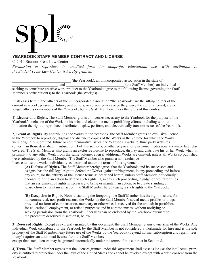

## **YEARBOOK STAFF MEMBER CONTRACT AND LICENSE**

© 2014 Student Press Law Center

Permission to reproduce in unedited form for nonprofit, educational use, with attribution to *the Student Press Law Center, is hereby granted.* 

 $\frac{1}{\sqrt{2\pi}}$  (the Yearbook), an unincorporated association in the state of \_\_\_\_\_\_\_\_\_\_\_\_\_\_\_\_\_\_\_\_\_\_\_\_; and \_\_\_\_\_\_\_\_\_\_\_\_\_\_\_\_\_\_\_\_\_\_\_\_\_\_\_\_\_\_\_ (the Staff Member), an individual seeking to contribute creative work product to the Yearbook; agree to the following license governing the Staff Member's contribution(s) to the Yearbook (the Work(s)).

In all cases herein, the officers of the unincorporated association "the Yearbook" are the sitting editors of the current yearbook, present or future; past editors, or current editors once they leave the editorial board, are no longer officers or members of the Yearbook, but are Staff Members under the terms of this contract.

**1) License and Rights.** The Staff Member grants all licenses necessary to the Yearbook for the purpose of the Yearbook's inclusion of the Works in its print and electronic media publishing efforts, including without limitation the right to reproduce, distribute, display, perform, and electronically transmit issues of the Yearbook.

**2) Grant of Rights.** By contributing the Works to the Yearbook, the Staff Member grants an exclusive license to the Yearbook to reproduce, display and distribute copies of the Works in the volume for which the Works were originally submitted, future or commemorative issues, the Yearbook's website, third party websites (other than those described in subsection B of this section), or other physical or electronic media now known or later discovered. The Staff Member also grants an exclusive license to reproduce, display and distribute his or her Work when in proximity to any other Work from the same volume, even if additional Works are omitted, unless all Works so published were submitted by the Staff Member. The Staff Member also grants a non-exclusive license to use the works individually as described under the terms of this agreement.

**(A) Defense of Rights.** The Staff Member hereby agrees that the Yearbook, and its successors and assigns, has the full legal right to defend the Works against infringement, in any proceeding and before any court, for the entirety of the license terms as described herein, unless Staff Member individually chooses to bring an action to defend such rights. If, in any such proceeding, a judge or arbitrator finds that an assignment of rights is necessary to bring or maintain an action, or to create standing or jurisdiction to maintain an action, the Staff Member hereby assigns such rights to the Yearbook.

**(B) Exception to Rights.** Notwithstanding the foregoing, the Staff Member has the right to share, for noncommercial, non-profit reasons, the Works on the Staff Member's social media profiles or blogs, provided no form of compensation, monetary or otherwise, is received for the upload; in portfolios for educational, employment, or artistic purposes; and in contest entries, without notifying or seeking permission from the Yearbook. Other uses can be endorsed by the Yearbook pursuant to the procedure described in section 8, below.

**3) Reserved Rights.** Except as expressly granted by this document, the Staff Member retains ownership of the Works. Any individual Work contributed to the Yearbook by the Staff Member is not considered a workmade for hire and is the sole property of the Staff Member. Any future use of the Works by the Yearbook (beyond normal subscription and reprint fees, if any) requires an additional license from the Staff Member;

except that such licenses may be granted automatically under the terms of this contract in Section 8.

**4) Term.** The Staff Member agrees that the licenses granted under this agreement shall exist as long as the intellectual property is entitled to protection under the laws of the United States and cannot be revoked except with written consent from the Yearbook.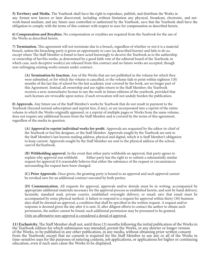**5) Territory and Media.** The Yearbook shall have the right to reproduce, publish, and distribute the Works in any format now known or later discovered, including without limitation any physical, broadcast, electronic, and network-based medium, and any future uses controlled or authorized by the Yearbook; save that the Yearbook shall have the obligation to comply with the terms of this contract with respect to uses for compensation as described herein.

**6) Compensation and Royalties.** No compensation or royalties are required from the Yearbook for the use of the Works as described herein.

**7) Termination.** This agreement will not terminate due to a breach, regardless of whether or not it is a material breach, unless the breaching party is given an opportunity to cure (as described herein) and fails to do so, except where The Staff Member is found to have acted knowingly to deceive the Yearbook as to the authorship or ownership of her/his works, as determined by a good faith vote of the editorial board of the Yearbook; in which case, such deceptive work(s) are released from this contract and no future works are accepted, though non-infringing existing works remain under contract.

**(A) Termination by Inaction.** Any of the Works that are not published in the volume for which they were submitted, or for which the volume is cancelled, or the volume fails to print within eighteen (18) months of the last day of school for the last academic year covered by the book, are no longer part of this Agreement. Instead, all ownership and use rights return to the Staff Member; the Yearbook receives a new, nonexclusive license to use the work in future editions of the yearbook, provided that such licenses are revocable upon notice, if such revocation will not unduly burden the publication.

**8) Approvals.** Any future use of the Staff Member's works by Yearbook that do not result in payment to the Yearbook (beyond normal subscription and reprint fees, if any), or are incorporated into a reprint of the entire volume in which the Works originally appeared, or a reprint of multiple pages or Works from the same volume, does not require any additional license from the Staff Member and is covered by the terms of this agreement, regardless of the media in question.

**(A) Approval to reprint individual works for-profit.** Approvals are requested by the editor-in-chief of the Yearbook or her/his designee, or the Staff Member. Approvals sought by the Yearbook are sent to the Staff Member's last known mailing address, physical and digital, which it is Staff Member's obligation to keep current. Approvals sought by the Staff Member are sent to the physical address of the school, care/of theYearbook.

**(B) Withholding approval.** In the event that either party withholds an approval, that party agrees to Either party has the right to re-submit a substantially similar request for approval if it reasonably believes that either the substance of the request or circumstances surrounding the request have been changed.

**(C) Prior Approvals.** Once given, the granting party is bound to an approval and such approval cannot be revoked save for an additional contract executed by both parties.

**(D) Communication.** All requests for approval, approvals and/or denials must be in writing, accompanied by appropriate additional materials necessary for the approval process as established herein, and sent by hand delivery, facsimile, standard mail, private courier, established overnight delivery, or email; save that email must be accompanied by some physical method. A failure to respond to a request for approval within thirty (30) business days shall be deemed an approval, a condition that shall be specified in the written request. A request and/or response is deemed given the day after it is sent. If, after diligent efforts to contact the author to obtain such permission, the author cannot be found, such additional permission may be presumed to be granted. Only an affirmative non-approval is considered a denial of approval.

11) Exclusivity. The Staff Member shall not, until three (3) months following the initial publication of the Works in the Yearbook edition for which submission was intended, permit the Works, or any shorter or longer versi of the Works, to be published in any other publication, in any media, without obtaining prior written consent from the Yearbook; except that no consent is required for the Staff Member to use any or all of the Works in time-sensitive uses for the purposes of entering contests, job applications, or applications for higher or continuing education, even if such uses cause the Works to be displayed.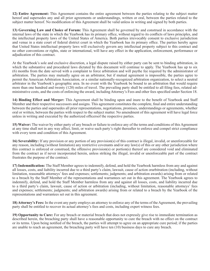**12) Entire Agreement:** This Agreement contains the entire agreement between the parties relating to the subject matter hereof and supersedes any and all prior agreements or understandings, written or oral, between the parties related to the subject matter hereof. No modification of this Agreement shall be valid unless in writing and signed by both parties.

**13) Governing Law and Choice of Forum:** This Agreement shall be governed by and construed in accordance with the internal laws of the state in which the Yearbook has its primary office, without regard to its conflicts of laws principles, and the intellectual property laws of the United States of America. Both parties irrevocably consent to exclusive jurisdiction and venue in a state court of federal district court in which the Yearbook has its primary office. The parties hereby agree that United States intellectual property laws will exclusively govern any intellectual property subject to this contract and no other conventions or rights, state or international, will have any effect in the application, enforcement, performance or adjudication of this contract.

At the Yearbook's sole and exclusive discretion, a legal dispute raised by either party can be sent to binding arbitration, in which the substantive and procedural laws dictated by this document will continue to apply. The Yearbook has up to six (6) months from the date served with a complaint to force arbitration and will paythe fee required by the administrator of arbitration. The parties may mutually agree on an arbitrator, but if mutual agreement is impossible, the parties agree to permit the American Arbitration Association, or a similar nationally-recognized arbitration organization, to select a neutral arbitrator in the Yearbook's geographic area. In no event with the Yearbook be bound to an arbitration that would require more than one hundred and twenty (120) miles of travel. The prevailing party shall be entitled to all filing fees, related administrative costs, and the costs of enforcing the award, including Attorney's Fees and other fees specified under Section 18.

**14) Binding Effect and Merger:** This Agreement shall be binding upon and inure to the benefit of Yearbook and Staff Member and their respective successors and assigns. This agreement constitutes the complete, final and entire understanding between the parties and supersedes all prior representations, negotiations, promises, understandings or agreements, whether oral or written, between the parties with respect to the subject matter. No amendment of this agreement will have legal force unless in writing and executed by the authorized officersof the respective parties.

**15) Waiver:** The waiver by either party of any breach or failure to enforce any of the terms and conditions of this Agreement at any time shall not in any way affect, limit, or waive such party's right thereafter to enforce and compel strict compliance with every term and condition of this Agreement.

**16) Severability:** If any provision or any portion of any provision(s) of this contract is illegal, invalid, or unenforceable for any reason, including (without limitation) any restrictive covenants and/or any law(s) of this or any other jurisdiction where this contract is enforced or construed, the offensive provision(s) or portion(s) thereof are considered void and eliminated from the contract as if never incorporated herein, unless striking the illegal, invalid or unenforceable part of the contract frustrates the purpose of the contract.

**17) Indemnification:** The Staff Member agrees to indemnify, defend, and hold the Yearbook harmless from any and against all losses, costs, and liability incurred due to a third party's claim, lawsuit, cause of action orarbitration (including, without limitation, reasonable attorneys' fees and expenses; settlements; judgments; and arbitration awards) arising from or related to a breach by the Staff Member of the representations and warrantees set out in this agreement. The Yearbook agrees to indemnify, defend, and hold the Staff Member harmless from any and against all losses, costs, and liability incurred due to a third party's claim, lawsuit, cause of action or arbitration (including, without limitation, reasonable attorneys' fees and expenses; settlements; judgments; and arbitration awards) arising from or related to a breach by the Yearbook of the representations and warrantees set out in this agreement.

**18) Attorney's Fees:** In the event any party employs an attorney to enforce any of the terms of the Agreement, the prevailing party shall be entitled to recover its actual attorney's fees and costs, including expert witness fees.

**19) Opportunity to Cure:** For any breach or material breach that does not expressly give rise to immediate termination as described herein, the breaching party shall have a reasonable opportunity to cure the breach with no effect on the contract or its terms. Upon being notified of the breach, the parties will attempt to agree on an appropriate cure period; if the parties are unable to reach an agreement, the breaching party will have ten (10) business days to cure any breach.